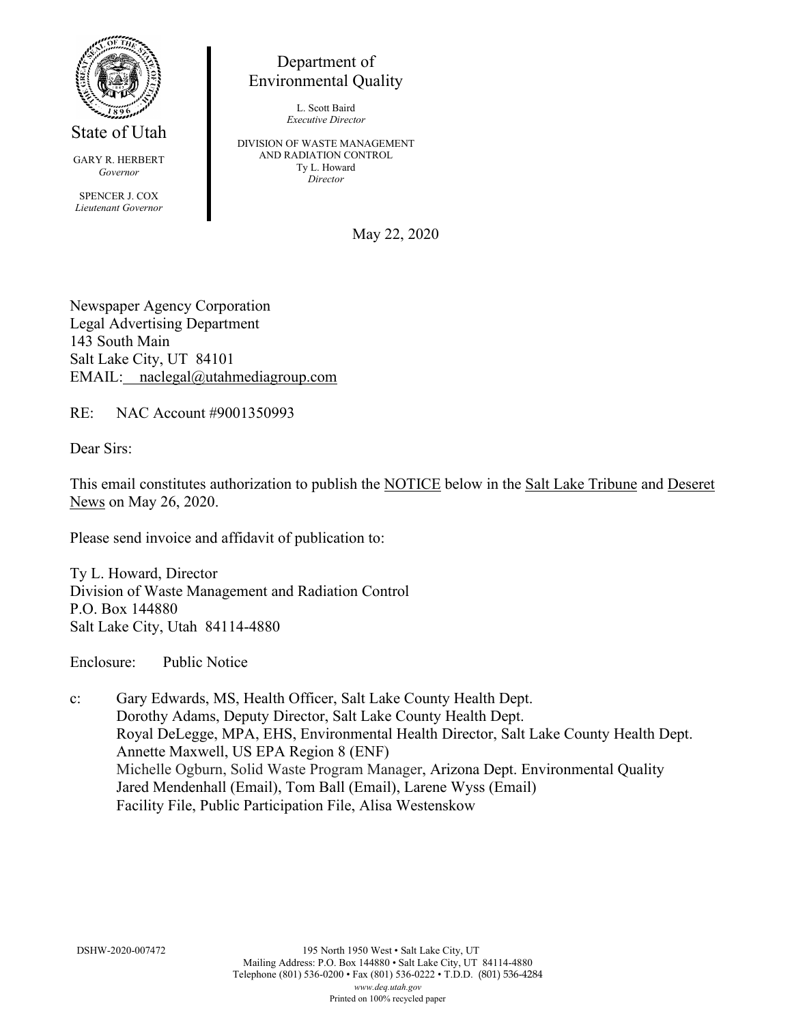

State of Utah

GARY R. HERBERT *Governor*

SPENCER J. COX *Lieutenant Governor*

Department of Environmental Quality

> L. Scott Baird *Executive Director*

DIVISION OF WASTE MANAGEMENT AND RADIATION CONTROL Ty L. Howard *Director*

May 22, 2020

Newspaper Agency Corporation Legal Advertising Department 143 South Main Salt Lake City, UT 84101 EMAIL: naclegal@utahmediagroup.com

RE: NAC Account #9001350993

Dear Sirs:

This email constitutes authorization to publish the NOTICE below in the Salt Lake Tribune and Deseret News on May 26, 2020.

Please send invoice and affidavit of publication to:

Ty L. Howard, Director Division of Waste Management and Radiation Control P.O. Box 144880 Salt Lake City, Utah 84114-4880

Enclosure: Public Notice

c: Gary Edwards, MS, Health Officer, Salt Lake County Health Dept. Dorothy Adams, Deputy Director, Salt Lake County Health Dept. Royal DeLegge, MPA, EHS, Environmental Health Director, Salt Lake County Health Dept. Annette Maxwell, US EPA Region 8 (ENF) Michelle Ogburn, Solid Waste Program Manager, Arizona Dept. Environmental Quality Jared Mendenhall (Email), Tom Ball (Email), Larene Wyss (Email) Facility File, Public Participation File, Alisa Westenskow